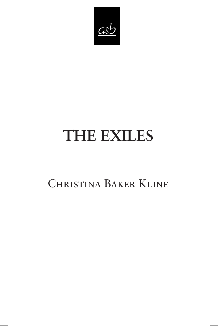

# **THE EXILES**

# Christina Baker Kline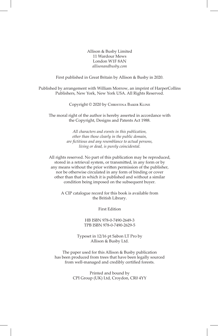Allison & Busby Limited 11 Wardour Mews London W1F 8AN *allisonandbusby.com*

First published in Great Britain by Allison & Busby in 2020.

Published by arrangement with William Morrow, an imprint of HarperCollins Publishers, New York, New York USA. All Rights Reserved.

Copyright © 2020 by Christina Baker Kline

The moral right of the author is hereby asserted in accordance with the Copyright, Designs and Patents Act 1988.

> *All characters and events in this publication, other than those clearly in the public domain, are fictitious and any resemblance to actual persons, living or dead, is purely coincidental.*

All rights reserved. No part of this publication may be reproduced, stored in a retrieval system, or transmitted, in any form or by any means without the prior written permission of the publisher, nor be otherwise circulated in any form of binding or cover other than that in which it is published and without a similar condition being imposed on the subsequent buyer.

A CIP catalogue record for this book is available from the British Library.

First Edition

HB ISBN 978-0-7490-2649-3 TPB ISBN 978-0-7490-2629-5

Typeset in 12/16 pt Sabon LT Pro by Allison & Busby Ltd.

The paper used for this Allison & Busby publication has been produced from trees that have been legally sourced from well-managed and credibly certified forests.

> Printed and bound by CPI Group (UK) Ltd, Croydon, CR0 4YY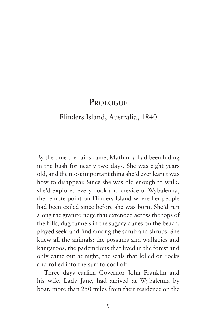### **Prologue**

#### Flinders Island, Australia, 1840

By the time the rains came, Mathinna had been hiding in the bush for nearly two days. She was eight years old, and the most important thing she'd ever learnt was how to disappear. Since she was old enough to walk, she'd explored every nook and crevice of Wybalenna, the remote point on Flinders Island where her people had been exiled since before she was born. She'd run along the granite ridge that extended across the tops of the hills, dug tunnels in the sugary dunes on the beach, played seek-and-find among the scrub and shrubs. She knew all the animals: the possums and wallabies and kangaroos, the pademelons that lived in the forest and only came out at night, the seals that lolled on rocks and rolled into the surf to cool off.

Three days earlier, Governor John Franklin and his wife, Lady Jane, had arrived at Wybalenna by boat, more than 250 miles from their residence on the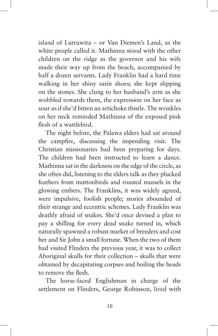island of Lutruwita – or Van Diemen's Land, as the white people called it. Mathinna stood with the other children on the ridge as the governor and his wife made their way up from the beach, accompanied by half a dozen servants. Lady Franklin had a hard time walking in her shiny satin shoes; she kept slipping on the stones. She clung to her husband's arm as she wobbled towards them, the expression on her face as sour as if she'd bitten an artichoke thistle. The wrinkles on her neck reminded Mathinna of the exposed pink flesh of a wattlebird.

The night before, the Palawa elders had sat around the campfire, discussing the impending visit. The Christian missionaries had been preparing for days. The children had been instructed to learn a dance. Mathinna sat in the darkness on the edge of the circle, as she often did, listening to the elders talk as they plucked feathers from muttonbirds and roasted mussels in the glowing embers. The Franklins, it was widely agreed, were impulsive, foolish people; stories abounded of their strange and eccentric schemes. Lady Franklin was deathly afraid of snakes. She'd once devised a plan to pay a shilling for every dead snake turned in, which naturally spawned a robust market of breeders and cost her and Sir John a small fortune. When the two of them had visited Flinders the previous year, it was to collect Aboriginal skulls for their collection – skulls that were obtained by decapitating corpses and boiling the heads to remove the flesh.

The horse-faced Englishman in charge of the settlement on Flinders, George Robinson, lived with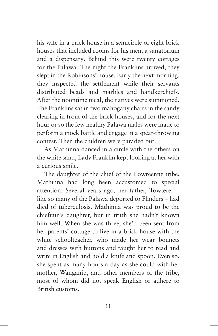his wife in a brick house in a semicircle of eight brick houses that included rooms for his men, a sanatorium and a dispensary. Behind this were twenty cottages for the Palawa. The night the Franklins arrived, they slept in the Robinsons' house. Early the next morning, they inspected the settlement while their servants distributed beads and marbles and handkerchiefs. After the noontime meal, the natives were summoned. The Franklins sat in two mahogany chairs in the sandy clearing in front of the brick houses, and for the next hour or so the few healthy Palawa males were made to perform a mock battle and engage in a spear-throwing contest. Then the children were paraded out.

As Mathinna danced in a circle with the others on the white sand, Lady Franklin kept looking at her with a curious smile.

The daughter of the chief of the Lowreenne tribe, Mathinna had long been accustomed to special attention. Several years ago, her father, Towterer – like so many of the Palawa deported to Flinders – had died of tuberculosis. Mathinna was proud to be the chieftain's daughter, but in truth she hadn't known him well. When she was three, she'd been sent from her parents' cottage to live in a brick house with the white schoolteacher, who made her wear bonnets and dresses with buttons and taught her to read and write in English and hold a knife and spoon. Even so, she spent as many hours a day as she could with her mother, Wanganip, and other members of the tribe, most of whom did not speak English or adhere to British customs.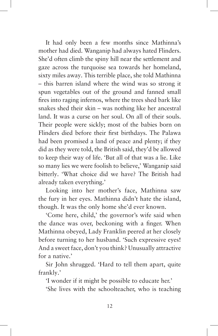It had only been a few months since Mathinna's mother had died. Wanganip had always hated Flinders. She'd often climb the spiny hill near the settlement and gaze across the turquoise sea towards her homeland, sixty miles away. This terrible place, she told Mathinna – this barren island where the wind was so strong it spun vegetables out of the ground and fanned small fires into raging infernos, where the trees shed bark like snakes shed their skin – was nothing like her ancestral land. It was a curse on her soul. On all of their souls. Their people were sickly; most of the babies born on Flinders died before their first birthdays. The Palawa had been promised a land of peace and plenty; if they did as they were told, the British said, they'd be allowed to keep their way of life. 'But all of that was a lie. Like so many lies we were foolish to believe,' Wanganip said bitterly. 'What choice did we have? The British had already taken everything.'

Looking into her mother's face, Mathinna saw the fury in her eyes. Mathinna didn't hate the island, though. It was the only home she'd ever known.

'Come here, child,' the governor's wife said when the dance was over, beckoning with a finger. When Mathinna obeyed, Lady Franklin peered at her closely before turning to her husband. 'Such expressive eyes! And a sweet face, don't you think? Unusually attractive for a native.'

Sir John shrugged. 'Hard to tell them apart, quite frankly.'

'I wonder if it might be possible to educate her.'

'She lives with the schoolteacher, who is teaching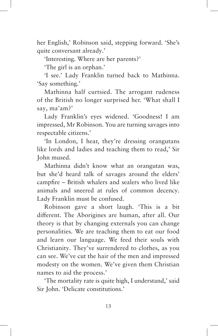her English,' Robinson said, stepping forward. 'She's quite conversant already.'

'Interesting. Where are her parents?'

'The girl is an orphan.'

'I see.' Lady Franklin turned back to Mathinna. 'Say something.'

Mathinna half curtsied. The arrogant rudeness of the British no longer surprised her. 'What shall I say, ma'am?'

Lady Franklin's eyes widened. 'Goodness! I am impressed, Mr Robinson. You are turning savages into respectable citizens.'

'In London, I hear, they're dressing orangutans like lords and ladies and teaching them to read,' Sir John mused.

Mathinna didn't know what an orangutan was, but she'd heard talk of savages around the elders' campfire – British whalers and sealers who lived like animals and sneered at rules of common decency. Lady Franklin must be confused.

Robinson gave a short laugh. 'This is a bit different. The Aborigines are human, after all. Our theory is that by changing externals you can change personalities. We are teaching them to eat our food and learn our language. We feed their souls with Christianity. They've surrendered to clothes, as you can see. We've cut the hair of the men and impressed modesty on the women. We've given them Christian names to aid the process.'

'The mortality rate is quite high, I understand,' said Sir John. 'Delicate constitutions.'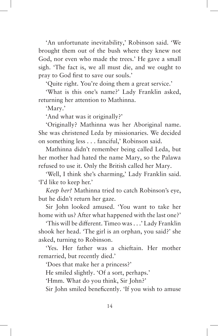'An unfortunate inevitability,' Robinson said. 'We brought them out of the bush where they knew not God, nor even who made the trees.' He gave a small sigh. 'The fact is, we all must die, and we ought to pray to God first to save our souls.'

'Quite right. You're doing them a great service.'

'What is this one's name?' Lady Franklin asked, returning her attention to Mathinna.

'Mary.'

'And what was it originally?'

'Originally? Mathinna was her Aboriginal name. She was christened Leda by missionaries. We decided on something less . . . fanciful,' Robinson said.

Mathinna didn't remember being called Leda, but her mother had hated the name Mary, so the Palawa refused to use it. Only the British called her Mary.

'Well, I think she's charming,' Lady Franklin said. 'I'd like to keep her.'

*Keep her?* Mathinna tried to catch Robinson's eye, but he didn't return her gaze.

Sir John looked amused. 'You want to take her home with us? After what happened with the last one?'

'This will be different. Timeo was . . .' Lady Franklin shook her head. 'The girl is an orphan, you said?' she asked, turning to Robinson.

'Yes. Her father was a chieftain. Her mother remarried, but recently died.'

'Does that make her a princess?'

He smiled slightly. 'Of a sort, perhaps.'

'Hmm. What do you think, Sir John?'

Sir John smiled beneficently. 'If you wish to amuse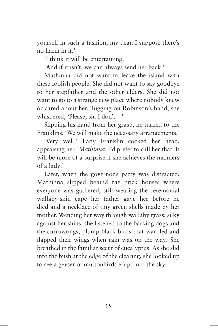yourself in such a fashion, my dear, I suppose there's no harm in it.'

'I think it will be entertaining.'

'And if it isn't, we can always send her back.'

Mathinna did not want to leave the island with these foolish people. She did not want to say goodbye to her stepfather and the other elders. She did not want to go to a strange new place where nobody knew or cared about her. Tugging on Robinson's hand, she whispered, 'Please, sir. I don't—'

Slipping his hand from her grasp, he turned to the Franklins. 'We will make the necessary arrangements.'

'Very well.' Lady Franklin cocked her head, appraising her. '*Mathinna*. I'd prefer to call her that. It will be more of a surprise if she achieves the manners of a lady.'

Later, when the governor's party was distracted, Mathinna slipped behind the brick houses where everyone was gathered, still wearing the ceremonial wallaby-skin cape her father gave her before he died and a necklace of tiny green shells made by her mother. Wending her way through wallaby grass, silky against her shins, she listened to the barking dogs and the currawongs, plump black birds that warbled and flapped their wings when rain was on the way. She breathed in the familiar scent of eucalyptus. As she slid into the bush at the edge of the clearing, she looked up to see a geyser of muttonbirds erupt into the sky.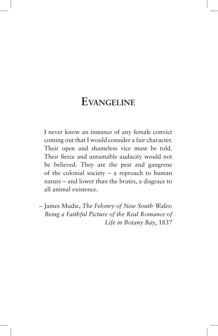# **Evangeline**

I never know an instance of any female convict coming out that I would consider a fair character. Their open and shameless vice must be told. Their fierce and untamable audacity would not be believed. They are the pest and gangrene of the colonial society – a reproach to human nature – and lower than the brutes, a disgrace to all animal existence.

 – James Mudie, *The Felonry of New South Wales: Being a Faithful Picture of the Real Romance of Life in Botany Bay*, 1837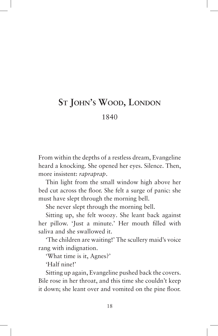## **St John's Wood, London**

#### 1840

From within the depths of a restless dream, Evangeline heard a knocking. She opened her eyes. Silence. Then, more insistent: *rapraprap*.

Thin light from the small window high above her bed cut across the floor. She felt a surge of panic: she must have slept through the morning bell.

She never slept through the morning bell.

Sitting up, she felt woozy. She leant back against her pillow. 'Just a minute.' Her mouth filled with saliva and she swallowed it.

'The children are waiting!' The scullery maid's voice rang with indignation.

'What time is it, Agnes?'

'Half nine!'

Sitting up again, Evangeline pushed back the covers. Bile rose in her throat, and this time she couldn't keep it down; she leant over and vomited on the pine floor.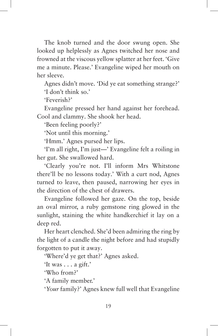The knob turned and the door swung open. She looked up helplessly as Agnes twitched her nose and frowned at the viscous yellow splatter at her feet. 'Give me a minute. Please.' Evangeline wiped her mouth on her sleeve.

Agnes didn't move. 'Did ye eat something strange?' 'I don't think so.'

'Feverish?'

Evangeline pressed her hand against her forehead. Cool and clammy. She shook her head.

'Been feeling poorly?'

'Not until this morning.'

'Hmm.' Agnes pursed her lips.

'I'm all right, I'm just—' Evangeline felt a roiling in her gut. She swallowed hard.

'Clearly you're not. I'll inform Mrs Whitstone there'll be no lessons today.' With a curt nod, Agnes turned to leave, then paused, narrowing her eyes in the direction of the chest of drawers.

Evangeline followed her gaze. On the top, beside an oval mirror, a ruby gemstone ring glowed in the sunlight, staining the white handkerchief it lay on a deep red.

Her heart clenched. She'd been admiring the ring by the light of a candle the night before and had stupidly forgotten to put it away.

'Where'd ye get that?' Agnes asked.

'It was . . . a gift.'

'Who from?'

'A family member.'

'*Your* family?' Agnes knew full well that Evangeline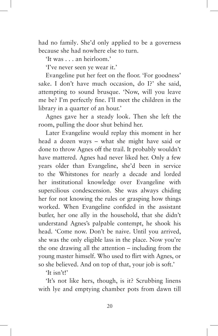had no family. She'd only applied to be a governess because she had nowhere else to turn.

'It was . . . an heirloom.'

'I've never seen ye wear it.'

Evangeline put her feet on the floor. 'For goodness' sake. I don't have much occasion, do I?' she said, attempting to sound brusque. 'Now, will you leave me be? I'm perfectly fine. I'll meet the children in the library in a quarter of an hour.'

Agnes gave her a steady look. Then she left the room, pulling the door shut behind her.

Later Evangeline would replay this moment in her head a dozen ways – what she might have said or done to throw Agnes off the trail. It probably wouldn't have mattered. Agnes had never liked her. Only a few years older than Evangeline, she'd been in service to the Whitstones for nearly a decade and lorded her institutional knowledge over Evangeline with supercilious condescension. She was always chiding her for not knowing the rules or grasping how things worked. When Evangeline confided in the assistant butler, her one ally in the household, that she didn't understand Agnes's palpable contempt, he shook his head. 'Come now. Don't be naive. Until you arrived, she was the only eligible lass in the place. Now you're the one drawing all the attention – including from the young master himself. Who used to flirt with Agnes, or so she believed. And on top of that, your job is soft.'

'It isn't!'

'It's not like hers, though, is it? Scrubbing linens with lye and emptying chamber pots from dawn till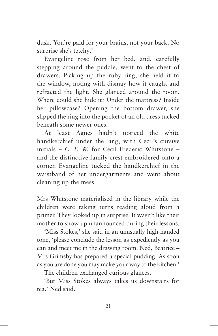dusk. You're paid for your brains, not your back. No surprise she's tetchy.'

Evangeline rose from her bed, and, carefully stepping around the puddle, went to the chest of drawers. Picking up the ruby ring, she held it to the window, noting with dismay how it caught and refracted the light. She glanced around the room. Where could she hide it? Under the mattress? Inside her pillowcase? Opening the bottom drawer, she slipped the ring into the pocket of an old dress tucked beneath some newer ones.

At least Agnes hadn't noticed the white handkerchief under the ring, with Cecil's cursive initials – *C. F. W.* for Cecil Frederic Whitstone – and the distinctive family crest embroidered onto a corner. Evangeline tucked the handkerchief in the waistband of her undergarments and went about cleaning up the mess.

Mrs Whitstone materialised in the library while the children were taking turns reading aloud from a primer. They looked up in surprise. It wasn't like their mother to show up unannounced during their lessons.

'Miss Stokes,' she said in an unusually high-handed tone, 'please conclude the lesson as expediently as you can and meet me in the drawing room. Ned, Beatrice – Mrs Grimsby has prepared a special pudding. As soon as you are done you may make your way to the kitchen.'

The children exchanged curious glances.

'But Miss Stokes always takes us downstairs for tea,' Ned said.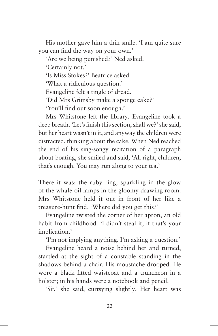His mother gave him a thin smile. 'I am quite sure you can find the way on your own.'

'Are we being punished?' Ned asked.

'Certainly not.'

'Is Miss Stokes?' Beatrice asked.

'What a ridiculous question.'

Evangeline felt a tingle of dread.

'Did Mrs Grimsby make a sponge cake?'

'You'll find out soon enough.'

Mrs Whitstone left the library. Evangeline took a deep breath. 'Let's finish this section, shall we?' she said, but her heart wasn't in it, and anyway the children were distracted, thinking about the cake. When Ned reached the end of his sing-songy recitation of a paragraph about boating, she smiled and said, 'All right, children, that's enough. You may run along to your tea.'

There it was: the ruby ring, sparkling in the glow of the whale-oil lamps in the gloomy drawing room. Mrs Whitstone held it out in front of her like a treasure-hunt find. 'Where did you get this?'

Evangeline twisted the corner of her apron, an old habit from childhood. 'I didn't steal it, if that's your implication.'

'I'm not implying anything. I'm asking a question.'

Evangeline heard a noise behind her and turned, startled at the sight of a constable standing in the shadows behind a chair. His moustache drooped. He wore a black fitted waistcoat and a truncheon in a holster; in his hands were a notebook and pencil.

'Sir,' she said, curtsying slightly. Her heart was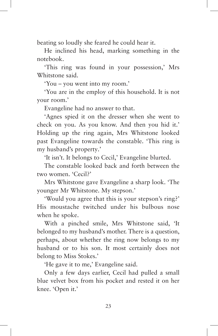beating so loudly she feared he could hear it.

He inclined his head, marking something in the notebook.

'This ring was found in your possession,' Mrs Whitstone said.

'You – you went into my room.'

'You are in the employ of this household. It is not your room.'

Evangeline had no answer to that.

'Agnes spied it on the dresser when she went to check on you. As you know. And then you hid it.' Holding up the ring again, Mrs Whitstone looked past Evangeline towards the constable. 'This ring is my husband's property.'

'It isn't. It belongs to Cecil,' Evangeline blurted.

The constable looked back and forth between the two women. 'Cecil?'

Mrs Whitstone gave Evangeline a sharp look. 'The younger Mr Whitstone. My stepson.'

'Would you agree that this is your stepson's ring?' His moustache twitched under his bulbous nose when he spoke.

With a pinched smile, Mrs Whitstone said, 'It belonged to my husband's mother. There is a question, perhaps, about whether the ring now belongs to my husband or to his son. It most certainly does not belong to Miss Stokes.'

'He gave it to me,' Evangeline said.

Only a few days earlier, Cecil had pulled a small blue velvet box from his pocket and rested it on her knee. 'Open it.'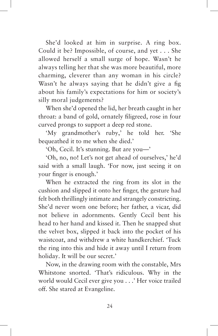She'd looked at him in surprise. A ring box. Could it be? Impossible, of course, and yet . . . She allowed herself a small surge of hope. Wasn't he always telling her that she was more beautiful, more charming, cleverer than any woman in his circle? Wasn't he always saying that he didn't give a fig about his family's expectations for him or society's silly moral judgements?

When she'd opened the lid, her breath caught in her throat: a band of gold, ornately filigreed, rose in four curved prongs to support a deep red stone.

'My grandmother's ruby,' he told her. 'She bequeathed it to me when she died.'

'Oh, Cecil. It's stunning. But are you—'

'Oh, no, no! Let's not get ahead of ourselves,' he'd said with a small laugh. 'For now, just seeing it on your finger is enough.'

When he extracted the ring from its slot in the cushion and slipped it onto her finger, the gesture had felt both thrillingly intimate and strangely constricting. She'd never worn one before; her father, a vicar, did not believe in adornments. Gently Cecil bent his head to her hand and kissed it. Then he snapped shut the velvet box, slipped it back into the pocket of his waistcoat, and withdrew a white handkerchief. 'Tuck the ring into this and hide it away until I return from holiday. It will be our secret.'

Now, in the drawing room with the constable, Mrs Whitstone snorted. 'That's ridiculous. Why in the world would Cecil ever give you . . .' Her voice trailed off. She stared at Evangeline.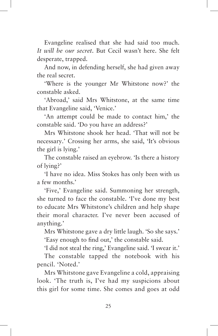Evangeline realised that she had said too much. *It will be our secret*. But Cecil wasn't here. She felt desperate, trapped.

And now, in defending herself, she had given away the real secret.

'Where is the younger Mr Whitstone now?' the constable asked.

'Abroad,' said Mrs Whitstone, at the same time that Evangeline said, 'Venice.'

'An attempt could be made to contact him,' the constable said. 'Do you have an address?'

Mrs Whitstone shook her head. 'That will not be necessary.' Crossing her arms, she said, 'It's obvious the girl is lying.'

The constable raised an eyebrow. 'Is there a history of lying?'

'I have no idea. Miss Stokes has only been with us a few months.'

'Five,' Evangeline said. Summoning her strength, she turned to face the constable. 'I've done my best to educate Mrs Whitstone's children and help shape their moral character. I've never been accused of anything.'

Mrs Whitstone gave a dry little laugh. 'So she says.'

'Easy enough to find out,' the constable said.

'I did not steal the ring,' Evangeline said. 'I swear it.'

The constable tapped the notebook with his pencil. 'Noted.'

Mrs Whitstone gave Evangeline a cold, appraising look. 'The truth is, I've had my suspicions about this girl for some time. She comes and goes at odd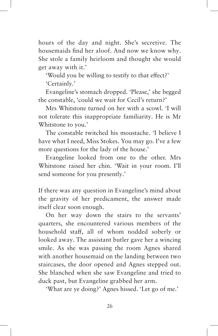hours of the day and night. She's secretive. The housemaids find her aloof. And now we know why. She stole a family heirloom and thought she would get away with it.'

'Would you be willing to testify to that effect?'

'Certainly.'

Evangeline's stomach dropped. 'Please,' she begged the constable, 'could we wait for Cecil's return?'

Mrs Whitstone turned on her with a scowl. 'I will not tolerate this inappropriate familiarity. He is Mr Whitstone to you.'

The constable twitched his moustache. 'I believe I have what I need, Miss Stokes. You may go. I've a few more questions for the lady of the house.'

Evangeline looked from one to the other. Mrs Whitstone raised her chin. 'Wait in your room. I'll send someone for you presently.'

If there was any question in Evangeline's mind about the gravity of her predicament, the answer made itself clear soon enough.

On her way down the stairs to the servants' quarters, she encountered various members of the household staff, all of whom nodded soberly or looked away. The assistant butler gave her a wincing smile. As she was passing the room Agnes shared with another housemaid on the landing between two staircases, the door opened and Agnes stepped out. She blanched when she saw Evangeline and tried to duck past, but Evangeline grabbed her arm.

'What are ye doing?' Agnes hissed. 'Let go of me.'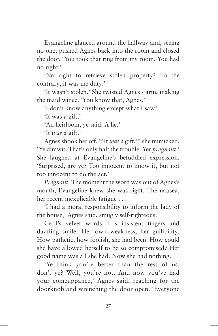Evangeline glanced around the hallway and, seeing no one, pushed Agnes back into the room and closed the door. 'You took that ring from my room. You had no right.'

'No right to retrieve stolen property? To the contrary, it was me duty.'

'It wasn't stolen.' She twisted Agnes's arm, making the maid wince. 'You know that, Agnes.'

'I don't know anything except what I saw.'

'It was a gift.'

'An heirloom, ye said. A lie.'

'It *was* a gift.'

Agnes shook her off. '"It *was* a gift,"' she mimicked. 'Ye dimwit. That's only half the trouble. Yer *pregnant*.' She laughed at Evangeline's befuddled expression. 'Surprised, are ye? Too innocent to know it, but not too innocent to do the act.'

*Pregnant*. The moment the word was out of Agnes's mouth, Evangeline knew she was right. The nausea, her recent inexplicable fatigue . . .

'I had a moral responsibility to inform the lady of the house,' Agnes said, smugly self-righteous.

Cecil's velvet words. His insistent fingers and dazzling smile. Her own weakness, her gullibility. How pathetic, how foolish, she had been. How could she have allowed herself to be so compromised? Her good name was all she had. Now she had nothing.

'Ye think you're better than the rest of us, don't ye? Well, you're not. And now you've had your comeuppance,' Agnes said, reaching for the doorknob and wrenching the door open. 'Everyone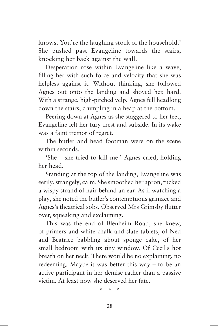knows. You're the laughing stock of the household.' She pushed past Evangeline towards the stairs, knocking her back against the wall.

Desperation rose within Evangeline like a wave, filling her with such force and velocity that she was helpless against it. Without thinking, she followed Agnes out onto the landing and shoved her, hard. With a strange, high-pitched yelp, Agnes fell headlong down the stairs, crumpling in a heap at the bottom.

Peering down at Agnes as she staggered to her feet, Evangeline felt her fury crest and subside. In its wake was a faint tremor of regret.

The butler and head footman were on the scene within seconds.

'She – she tried to kill me!' Agnes cried, holding her head.

Standing at the top of the landing, Evangeline was eerily, strangely, calm. She smoothed her apron, tucked a wispy strand of hair behind an ear. As if watching a play, she noted the butler's contemptuous grimace and Agnes's theatrical sobs. Observed Mrs Grimsby flutter over, squeaking and exclaiming.

This was the end of Blenheim Road, she knew, of primers and white chalk and slate tablets, of Ned and Beatrice babbling about sponge cake, of her small bedroom with its tiny window. Of Cecil's hot breath on her neck. There would be no explaining, no redeeming. Maybe it was better this way – to be an active participant in her demise rather than a passive victim. At least now she deserved her fate.

\* \* \*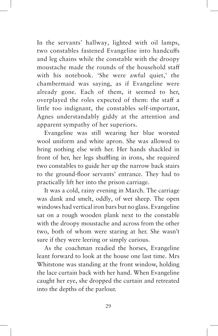In the servants' hallway, lighted with oil lamps, two constables fastened Evangeline into handcuffs and leg chains while the constable with the droopy moustache made the rounds of the household staff with his notebook. 'She were awful quiet,' the chambermaid was saying, as if Evangeline were already gone. Each of them, it seemed to her, overplayed the roles expected of them: the staff a little too indignant, the constables self-important, Agnes understandably giddy at the attention and apparent sympathy of her superiors.

Evangeline was still wearing her blue worsted wool uniform and white apron. She was allowed to bring nothing else with her. Her hands shackled in front of her, her legs shuffling in irons, she required two constables to guide her up the narrow back stairs to the ground-floor servants' entrance. They had to practically lift her into the prison carriage.

It was a cold, rainy evening in March. The carriage was dank and smelt, oddly, of wet sheep. The open windows had vertical iron bars but no glass. Evangeline sat on a rough wooden plank next to the constable with the droopy moustache and across from the other two, both of whom were staring at her. She wasn't sure if they were leering or simply curious.

As the coachman readied the horses, Evangeline leant forward to look at the house one last time. Mrs Whitstone was standing at the front window, holding the lace curtain back with her hand. When Evangeline caught her eye, she dropped the curtain and retreated into the depths of the parlour.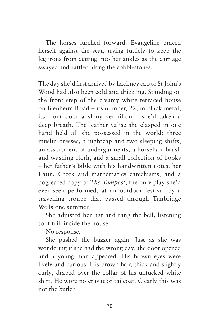The horses lurched forward. Evangeline braced herself against the seat, trying futilely to keep the leg irons from cutting into her ankles as the carriage swayed and rattled along the cobblestones.

The day she'd first arrived by hackney cab to St John's Wood had also been cold and drizzling. Standing on the front step of the creamy white terraced house on Blenheim Road – its number, 22, in black metal, its front door a shiny vermilion – she'd taken a deep breath. The leather valise she clasped in one hand held all she possessed in the world: three muslin dresses, a nightcap and two sleeping shifts, an assortment of undergarments, a horsehair brush and washing cloth, and a small collection of books – her father's Bible with his handwritten notes; her Latin, Greek and mathematics catechisms; and a dog-eared copy of *The Tempest*, the only play she'd ever seen performed, at an outdoor festival by a travelling troupe that passed through Tunbridge Wells one summer.

She adjusted her hat and rang the bell, listening to it trill inside the house.

No response.

She pushed the buzzer again. Just as she was wondering if she had the wrong day, the door opened and a young man appeared. His brown eyes were lively and curious. His brown hair, thick and slightly curly, draped over the collar of his untucked white shirt. He wore no cravat or tailcoat. Clearly this was not the butler.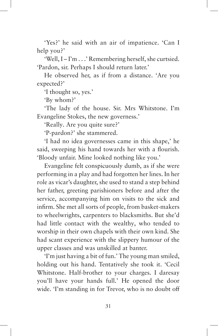'Yes?' he said with an air of impatience. 'Can I help you?'

'Well, I – I'm . . .' Remembering herself, she curtsied. 'Pardon, sir. Perhaps I should return later.'

He observed her, as if from a distance. 'Are you expected?'

'I thought so, yes.'

'By whom?'

'The lady of the house. Sir. Mrs Whitstone. I'm Evangeline Stokes, the new governess.'

'Really. Are you quite sure?'

'P-pardon?' she stammered.

'I had no idea governesses came in this shape,' he said, sweeping his hand towards her with a flourish. 'Bloody unfair. Mine looked nothing like you.'

Evangeline felt conspicuously dumb, as if she were performing in a play and had forgotten her lines. In her role as vicar's daughter, she used to stand a step behind her father, greeting parishioners before and after the service, accompanying him on visits to the sick and infirm. She met all sorts of people, from basket-makers to wheelwrights, carpenters to blacksmiths. But she'd had little contact with the wealthy, who tended to worship in their own chapels with their own kind. She had scant experience with the slippery humour of the upper classes and was unskilled at banter.

'I'm just having a bit of fun.' The young man smiled, holding out his hand. Tentatively she took it. 'Cecil Whitstone. Half-brother to your charges. I daresay you'll have your hands full.' He opened the door wide. T'm standing in for Trevor, who is no doubt off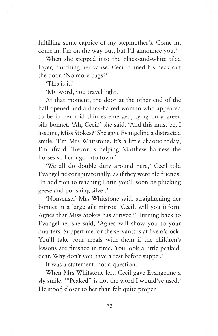fulfilling some caprice of my stepmother's. Come in, come in. I'm on the way out, but I'll announce you.'

When she stepped into the black-and-white tiled foyer, clutching her valise, Cecil craned his neck out the door. 'No more bags?'

'This is it.'

'My word, you travel light.'

At that moment, the door at the other end of the hall opened and a dark-haired woman who appeared to be in her mid thirties emerged, tying on a green silk bonnet. 'Ah, Cecil!' she said. 'And this must be, I assume, Miss Stokes?' She gave Evangeline a distracted smile. 'I'm Mrs Whitstone. It's a little chaotic today, I'm afraid. Trevor is helping Matthew harness the horses so I can go into town.'

'We all do double duty around here,' Cecil told Evangeline conspiratorially, as if they were old friends. 'In addition to teaching Latin you'll soon be plucking geese and polishing silver.'

'Nonsense,' Mrs Whitstone said, straightening her bonnet in a large gilt mirror. 'Cecil, will you inform Agnes that Miss Stokes has arrived?' Turning back to Evangeline, she said, 'Agnes will show you to your quarters. Suppertime for the servants is at five o'clock. You'll take your meals with them if the children's lessons are finished in time. You look a little peaked, dear. Why don't you have a rest before supper.'

It was a statement, not a question.

When Mrs Whitstone left, Cecil gave Evangeline a sly smile. '"Peaked" is not the word I would've used.' He stood closer to her than felt quite proper.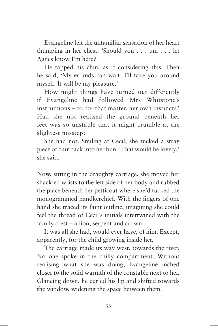Evangeline felt the unfamiliar sensation of her heart thumping in her chest. 'Should you . . . um . . . let Agnes know I'm here?'

He tapped his chin, as if considering this. Then he said, 'My errands can wait. I'll take you around myself. It will be my pleasure.'

How might things have turned out differently if Evangeline had followed Mrs Whitstone's instructions – or, for that matter, her own instincts? Had she not realised the ground beneath her feet was so unstable that it might crumble at the slightest misstep?

She had not. Smiling at Cecil, she tucked a stray piece of hair back into her bun. 'That would be lovely,' she said.

Now, sitting in the draughty carriage, she moved her shackled wrists to the left side of her body and rubbed the place beneath her petticoat where she'd tucked the monogrammed handkerchief. With the fingers of one hand she traced its faint outline, imagining she could feel the thread of Cecil's initials intertwined with the family crest – a lion, serpent and crown.

It was all she had, would ever have, of him. Except, apparently, for the child growing inside her.

The carriage made its way west, towards the river. No one spoke in the chilly compartment. Without realising what she was doing, Evangeline inched closer to the solid warmth of the constable next to her. Glancing down, he curled his lip and shifted towards the window, widening the space between them.